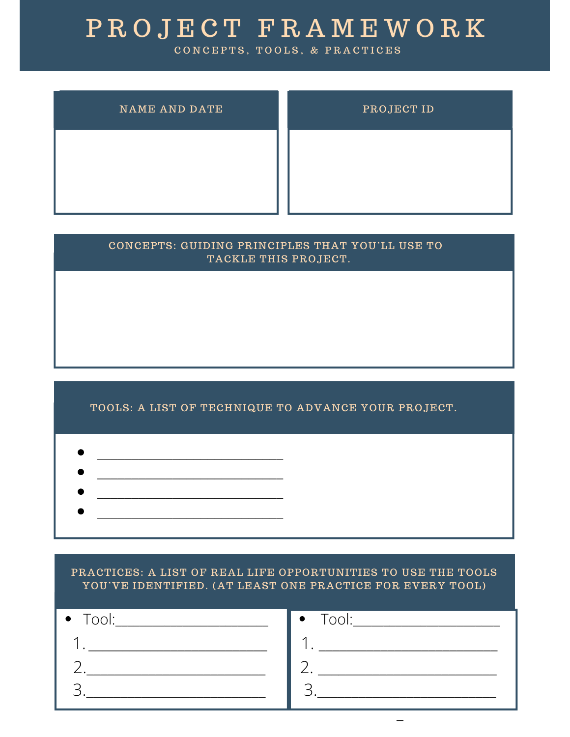## P R O J E C T F R A M E W O R K

CONCEPTS, TOOLS, & PRACTICES

| <b>NAME AND DATE</b> | PROJECT ID |
|----------------------|------------|
|                      |            |
|                      |            |

| CONCEPTS: GUIDING PRINCIPLES THAT YOU'LL USE TO<br>TACKLE THIS PROJECT. |
|-------------------------------------------------------------------------|
|                                                                         |
|                                                                         |
|                                                                         |

## TOOLS: A LIST OF TECHNIQUE TO ADVANCE YOUR PROJECT.

- $\mathcal{L}_\text{max}$  and  $\mathcal{L}_\text{max}$  and  $\mathcal{L}_\text{max}$  and  $\mathcal{L}_\text{max}$
- $\mathcal{L}=\mathcal{L}=\mathcal{L}$
- \_\_\_\_\_\_\_\_\_\_\_\_\_\_\_\_\_\_\_\_\_\_\_\_\_\_\_

PRACTICES: A LIST OF REAL LIFE OPPORTUNITIES TO USE THE TOOLS YOU'VE IDENTIFIED. (AT LEAST ONE PRACTICE FOR EVERY TOOL)

| $\bullet$ Tool: | $T$ ool: $\overline{\phantom{a}}$<br>$\bullet$ |
|-----------------|------------------------------------------------|
|                 |                                                |
|                 |                                                |
|                 |                                                |
|                 | -                                              |